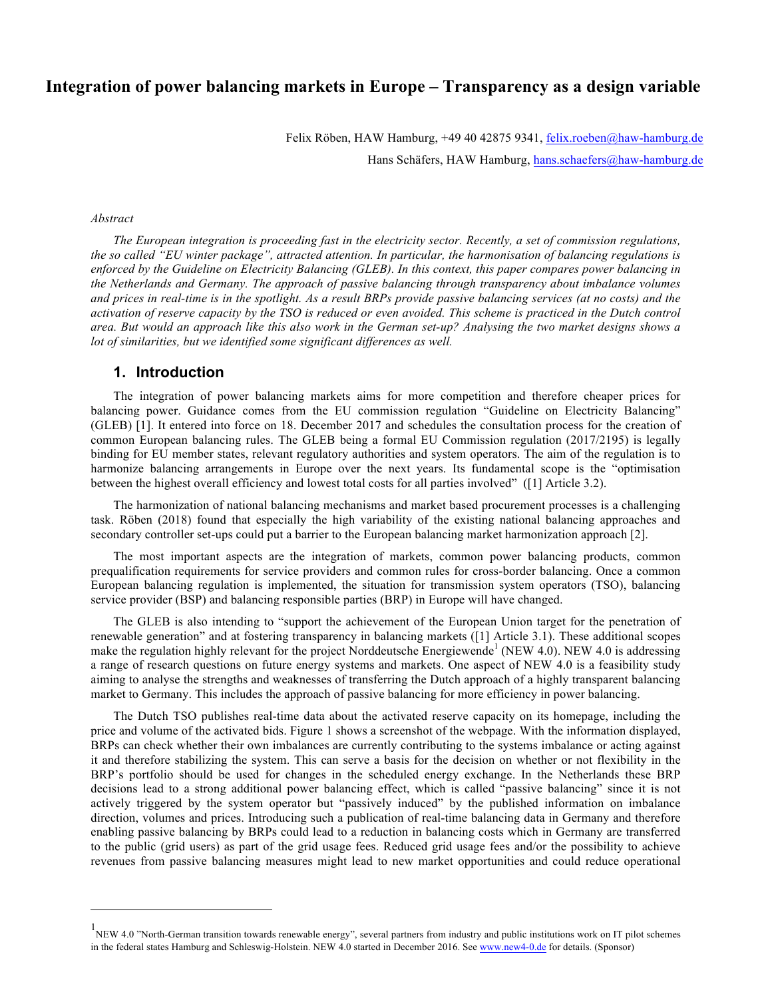# **Integration of power balancing markets in Europe – Transparency as a design variable**

Felix Röben, HAW Hamburg, +49 40 42875 9341, felix.roeben@haw-hamburg.de

Hans Schäfers, HAW Hamburg, hans.schaefers@haw-hamburg.de

#### *Abstract*

 $\overline{a}$ 

*The European integration is proceeding fast in the electricity sector. Recently, a set of commission regulations, the so called "EU winter package", attracted attention. In particular, the harmonisation of balancing regulations is enforced by the Guideline on Electricity Balancing (GLEB). In this context, this paper compares power balancing in the Netherlands and Germany. The approach of passive balancing through transparency about imbalance volumes and prices in real-time is in the spotlight. As a result BRPs provide passive balancing services (at no costs) and the activation of reserve capacity by the TSO is reduced or even avoided. This scheme is practiced in the Dutch control area. But would an approach like this also work in the German set-up? Analysing the two market designs shows a lot of similarities, but we identified some significant differences as well.* 

# **1. Introduction**

The integration of power balancing markets aims for more competition and therefore cheaper prices for balancing power. Guidance comes from the EU commission regulation "Guideline on Electricity Balancing" (GLEB) [1]. It entered into force on 18. December 2017 and schedules the consultation process for the creation of common European balancing rules. The GLEB being a formal EU Commission regulation (2017/2195) is legally binding for EU member states, relevant regulatory authorities and system operators. The aim of the regulation is to harmonize balancing arrangements in Europe over the next years. Its fundamental scope is the "optimisation between the highest overall efficiency and lowest total costs for all parties involved" ([1] Article 3.2).

The harmonization of national balancing mechanisms and market based procurement processes is a challenging task. Röben (2018) found that especially the high variability of the existing national balancing approaches and secondary controller set-ups could put a barrier to the European balancing market harmonization approach [2].

The most important aspects are the integration of markets, common power balancing products, common prequalification requirements for service providers and common rules for cross-border balancing. Once a common European balancing regulation is implemented, the situation for transmission system operators (TSO), balancing service provider (BSP) and balancing responsible parties (BRP) in Europe will have changed.

The GLEB is also intending to "support the achievement of the European Union target for the penetration of renewable generation" and at fostering transparency in balancing markets ([1] Article 3.1). These additional scopes make the regulation highly relevant for the project Norddeutsche Energiewende<sup>1</sup> (NEW 4.0). NEW 4.0 is addressing a range of research questions on future energy systems and markets. One aspect of NEW 4.0 is a feasibility study aiming to analyse the strengths and weaknesses of transferring the Dutch approach of a highly transparent balancing market to Germany. This includes the approach of passive balancing for more efficiency in power balancing.

The Dutch TSO publishes real-time data about the activated reserve capacity on its homepage, including the price and volume of the activated bids. Figure 1 shows a screenshot of the webpage. With the information displayed, BRPs can check whether their own imbalances are currently contributing to the systems imbalance or acting against it and therefore stabilizing the system. This can serve a basis for the decision on whether or not flexibility in the BRP's portfolio should be used for changes in the scheduled energy exchange. In the Netherlands these BRP decisions lead to a strong additional power balancing effect, which is called "passive balancing" since it is not actively triggered by the system operator but "passively induced" by the published information on imbalance direction, volumes and prices. Introducing such a publication of real-time balancing data in Germany and therefore enabling passive balancing by BRPs could lead to a reduction in balancing costs which in Germany are transferred to the public (grid users) as part of the grid usage fees. Reduced grid usage fees and/or the possibility to achieve revenues from passive balancing measures might lead to new market opportunities and could reduce operational

<sup>&</sup>lt;sup>1</sup>NEW 4.0 "North-German transition towards renewable energy", several partners from industry and public institutions work on IT pilot schemes in the federal states Hamburg and Schleswig-Holstein. NEW 4.0 started in December 2016. See www.new4-0.de for details. (Sponsor)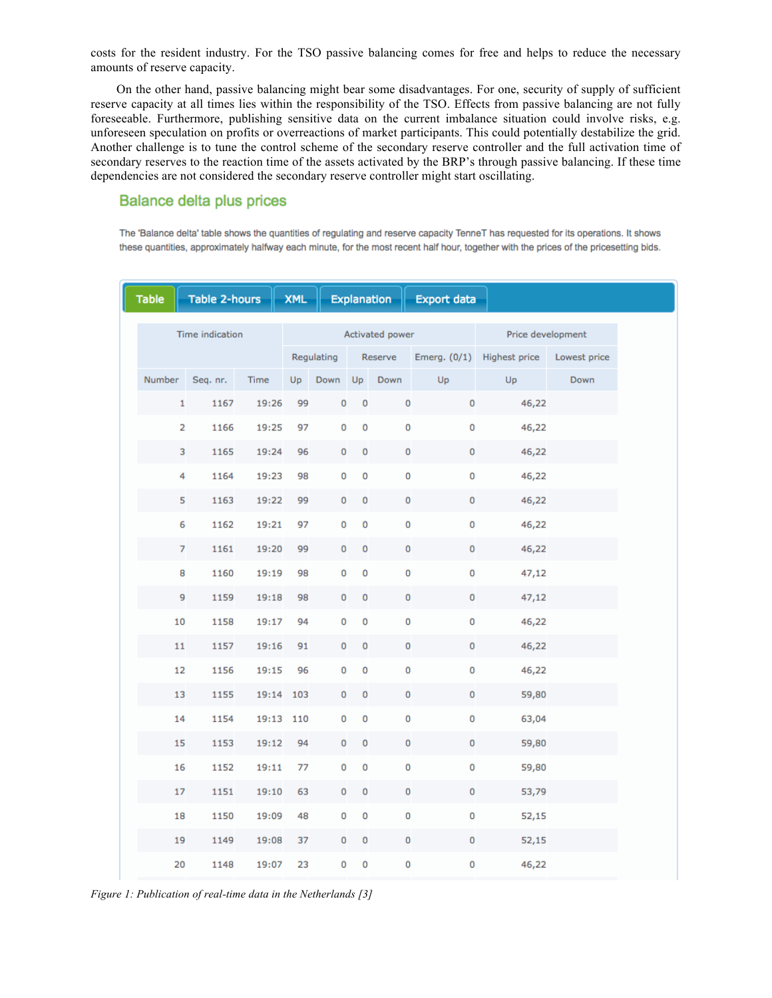costs for the resident industry. For the TSO passive balancing comes for free and helps to reduce the necessary amounts of reserve capacity.

On the other hand, passive balancing might bear some disadvantages. For one, security of supply of sufficient reserve capacity at all times lies within the responsibility of the TSO. Effects from passive balancing are not fully foreseeable. Furthermore, publishing sensitive data on the current imbalance situation could involve risks, e.g. unforeseen speculation on profits or overreactions of market participants. This could potentially destabilize the grid. Another challenge is to tune the control scheme of the secondary reserve controller and the full activation time of secondary reserves to the reaction time of the assets activated by the BRP's through passive balancing. If these time dependencies are not considered the secondary reserve controller might start oscillating.

# **Balance delta plus prices**

The 'Balance delta' table shows the quantities of regulating and reserve capacity TenneT has requested for its operations. It shows these quantities, approximately halfway each minute, for the most recent half hour, together with the prices of the pricesetting bids.

| <b>Table</b>    | <b>Table 2-hours</b> |           | <b>XML</b>      |            |           | Explanation | <b>Export data</b>  |                                    |              |
|-----------------|----------------------|-----------|-----------------|------------|-----------|-------------|---------------------|------------------------------------|--------------|
| Time indication |                      |           | Activated power |            |           |             |                     | Price development                  |              |
|                 |                      |           |                 | Regulating |           |             |                     | Reserve Emerg. (0/1) Highest price | Lowest price |
| Number          | Seq. nr.             | Time      | Up              | Down Up    |           | Down        | Up                  | Up                                 | Down         |
| 1               | 1167                 | 19:26     | 99              | 0          | 0         | $\mathbf 0$ | $\mathsf{O}\xspace$ | 46,22                              |              |
| $\overline{a}$  | 1166                 | 19:25     | 97              | 0          | 0         | $\pmb{0}$   | 0                   | 46,22                              |              |
| 3               | 1165                 | 19:24     | 96              | 0          | 0         | 0           | 0                   | 46,22                              |              |
| 4               | 1164                 | 19:23     | 98              | 0          | 0         | $\pmb{0}$   | 0                   | 46,22                              |              |
| 5               | 1163                 | 19:22     | 99              | 0          | 0         | $\pmb{0}$   | 0                   | 46,22                              |              |
| 6               | 1162                 | 19:21     | 97              | 0          | 0         | $\mathbf 0$ | $\mathsf{O}\xspace$ | 46,22                              |              |
| $\overline{7}$  | 1161                 | 19:20     | 99              | 0          | $\pmb{0}$ | 0           | 0                   | 46,22                              |              |
| 8               | 1160                 | 19:19     | 98              | 0          | 0         | 0           | 0                   | 47,12                              |              |
| 9               | 1159                 | 19:18     | 98              | 0          | 0         | $\pmb{0}$   | 0                   | 47,12                              |              |
| 10              | 1158                 | 19:17     | 94              | 0          | 0         | 0           | 0                   | 46,22                              |              |
| 11              | 1157                 | 19:16     | 91              | 0          | 0         | 0           | 0                   | 46,22                              |              |
| 12              | 1156                 | 19:15     | 96              | 0          | 0         | 0           | 0                   | 46,22                              |              |
| 13              | 1155                 | 19:14     | 103             | 0          | 0         | 0           | 0                   | 59,80                              |              |
| 14              | 1154                 | 19:13 110 |                 | 0          | 0         | 0           | 0                   | 63,04                              |              |
| 15              | 1153                 | 19:12     | 94              | 0          | 0         | 0           | 0                   | 59,80                              |              |
| 16              | 1152                 | 19:11     | 77              | 0          | 0         | 0           | 0                   | 59,80                              |              |
| 17              | 1151                 | 19:10     | 63              | 0          | 0         | 0           | $\mathsf{O}\xspace$ | 53,79                              |              |
| 18              | 1150                 | 19:09     | 48              | 0          | 0         | 0           | 0                   | 52,15                              |              |
| 19              | 1149                 | 19:08     | 37              | 0          | 0         | 0           | 0                   | 52,15                              |              |
| 20              | 1148                 | 19:07     | 23              | 0          | 0         | 0           | 0                   | 46,22                              |              |

*Figure 1: Publication of real-time data in the Netherlands [3]*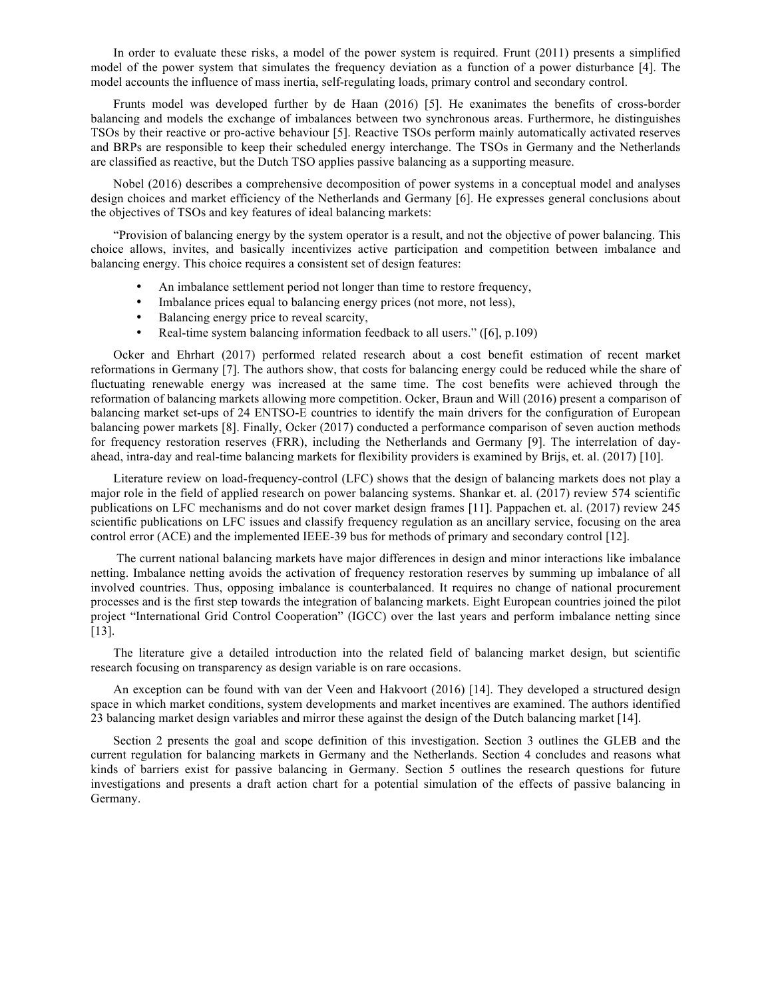In order to evaluate these risks, a model of the power system is required. Frunt (2011) presents a simplified model of the power system that simulates the frequency deviation as a function of a power disturbance [4]. The model accounts the influence of mass inertia, self-regulating loads, primary control and secondary control.

Frunts model was developed further by de Haan (2016) [5]. He exanimates the benefits of cross-border balancing and models the exchange of imbalances between two synchronous areas. Furthermore, he distinguishes TSOs by their reactive or pro-active behaviour [5]. Reactive TSOs perform mainly automatically activated reserves and BRPs are responsible to keep their scheduled energy interchange. The TSOs in Germany and the Netherlands are classified as reactive, but the Dutch TSO applies passive balancing as a supporting measure.

Nobel (2016) describes a comprehensive decomposition of power systems in a conceptual model and analyses design choices and market efficiency of the Netherlands and Germany [6]. He expresses general conclusions about the objectives of TSOs and key features of ideal balancing markets:

"Provision of balancing energy by the system operator is a result, and not the objective of power balancing. This choice allows, invites, and basically incentivizes active participation and competition between imbalance and balancing energy. This choice requires a consistent set of design features:

- An imbalance settlement period not longer than time to restore frequency,
- Imbalance prices equal to balancing energy prices (not more, not less),
- Balancing energy price to reveal scarcity,
- Real-time system balancing information feedback to all users." ([6], p.109)

Ocker and Ehrhart (2017) performed related research about a cost benefit estimation of recent market reformations in Germany [7]. The authors show, that costs for balancing energy could be reduced while the share of fluctuating renewable energy was increased at the same time. The cost benefits were achieved through the reformation of balancing markets allowing more competition. Ocker, Braun and Will (2016) present a comparison of balancing market set-ups of 24 ENTSO-E countries to identify the main drivers for the configuration of European balancing power markets [8]. Finally, Ocker (2017) conducted a performance comparison of seven auction methods for frequency restoration reserves (FRR), including the Netherlands and Germany [9]. The interrelation of dayahead, intra-day and real-time balancing markets for flexibility providers is examined by Brijs, et. al. (2017) [10].

Literature review on load-frequency-control (LFC) shows that the design of balancing markets does not play a major role in the field of applied research on power balancing systems. Shankar et. al. (2017) review 574 scientific publications on LFC mechanisms and do not cover market design frames [11]. Pappachen et. al. (2017) review 245 scientific publications on LFC issues and classify frequency regulation as an ancillary service, focusing on the area control error (ACE) and the implemented IEEE-39 bus for methods of primary and secondary control [12].

The current national balancing markets have major differences in design and minor interactions like imbalance netting. Imbalance netting avoids the activation of frequency restoration reserves by summing up imbalance of all involved countries. Thus, opposing imbalance is counterbalanced. It requires no change of national procurement processes and is the first step towards the integration of balancing markets. Eight European countries joined the pilot project "International Grid Control Cooperation" (IGCC) over the last years and perform imbalance netting since [13].

The literature give a detailed introduction into the related field of balancing market design, but scientific research focusing on transparency as design variable is on rare occasions.

An exception can be found with van der Veen and Hakvoort (2016) [14]. They developed a structured design space in which market conditions, system developments and market incentives are examined. The authors identified 23 balancing market design variables and mirror these against the design of the Dutch balancing market [14].

Section 2 presents the goal and scope definition of this investigation. Section 3 outlines the GLEB and the current regulation for balancing markets in Germany and the Netherlands. Section 4 concludes and reasons what kinds of barriers exist for passive balancing in Germany. Section 5 outlines the research questions for future investigations and presents a draft action chart for a potential simulation of the effects of passive balancing in Germany.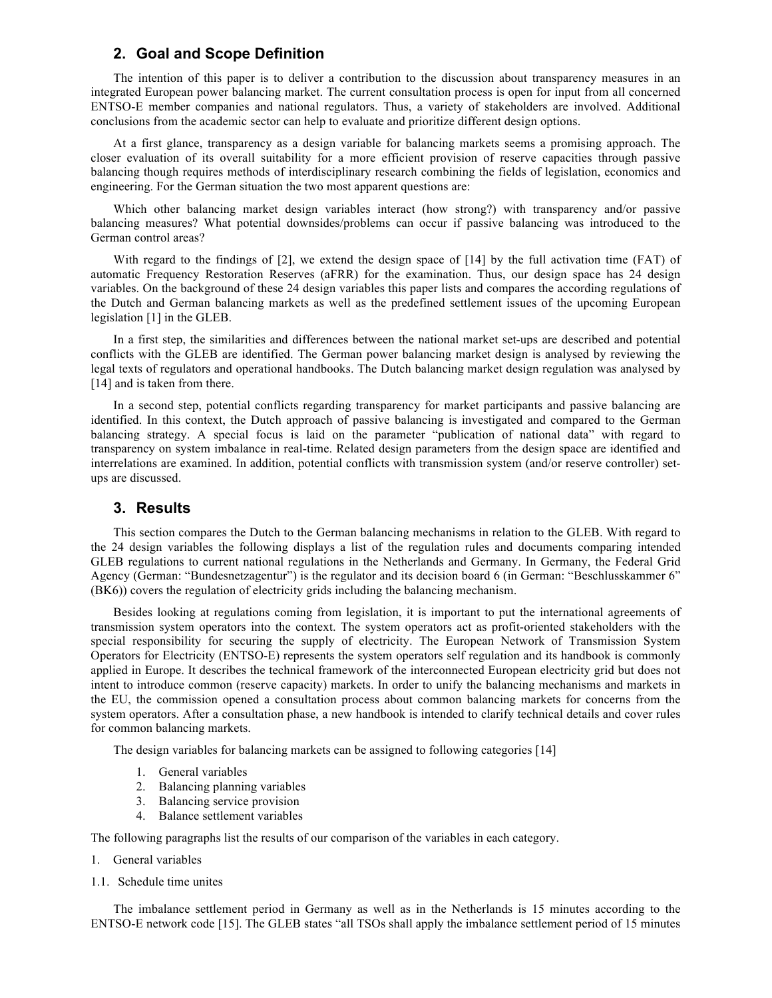# **2. Goal and Scope Definition**

The intention of this paper is to deliver a contribution to the discussion about transparency measures in an integrated European power balancing market. The current consultation process is open for input from all concerned ENTSO-E member companies and national regulators. Thus, a variety of stakeholders are involved. Additional conclusions from the academic sector can help to evaluate and prioritize different design options.

At a first glance, transparency as a design variable for balancing markets seems a promising approach. The closer evaluation of its overall suitability for a more efficient provision of reserve capacities through passive balancing though requires methods of interdisciplinary research combining the fields of legislation, economics and engineering. For the German situation the two most apparent questions are:

Which other balancing market design variables interact (how strong?) with transparency and/or passive balancing measures? What potential downsides/problems can occur if passive balancing was introduced to the German control areas?

With regard to the findings of [2], we extend the design space of [14] by the full activation time (FAT) of automatic Frequency Restoration Reserves (aFRR) for the examination. Thus, our design space has 24 design variables. On the background of these 24 design variables this paper lists and compares the according regulations of the Dutch and German balancing markets as well as the predefined settlement issues of the upcoming European legislation [1] in the GLEB.

In a first step, the similarities and differences between the national market set-ups are described and potential conflicts with the GLEB are identified. The German power balancing market design is analysed by reviewing the legal texts of regulators and operational handbooks. The Dutch balancing market design regulation was analysed by [14] and is taken from there.

In a second step, potential conflicts regarding transparency for market participants and passive balancing are identified. In this context, the Dutch approach of passive balancing is investigated and compared to the German balancing strategy. A special focus is laid on the parameter "publication of national data" with regard to transparency on system imbalance in real-time. Related design parameters from the design space are identified and interrelations are examined. In addition, potential conflicts with transmission system (and/or reserve controller) setups are discussed.

# **3. Results**

This section compares the Dutch to the German balancing mechanisms in relation to the GLEB. With regard to the 24 design variables the following displays a list of the regulation rules and documents comparing intended GLEB regulations to current national regulations in the Netherlands and Germany. In Germany, the Federal Grid Agency (German: "Bundesnetzagentur") is the regulator and its decision board 6 (in German: "Beschlusskammer 6" (BK6)) covers the regulation of electricity grids including the balancing mechanism.

Besides looking at regulations coming from legislation, it is important to put the international agreements of transmission system operators into the context. The system operators act as profit-oriented stakeholders with the special responsibility for securing the supply of electricity. The European Network of Transmission System Operators for Electricity (ENTSO-E) represents the system operators self regulation and its handbook is commonly applied in Europe. It describes the technical framework of the interconnected European electricity grid but does not intent to introduce common (reserve capacity) markets. In order to unify the balancing mechanisms and markets in the EU, the commission opened a consultation process about common balancing markets for concerns from the system operators. After a consultation phase, a new handbook is intended to clarify technical details and cover rules for common balancing markets.

The design variables for balancing markets can be assigned to following categories [14]

- 1. General variables
- 2. Balancing planning variables
- 3. Balancing service provision
- 4. Balance settlement variables

The following paragraphs list the results of our comparison of the variables in each category.

- 1. General variables
- 1.1. Schedule time unites

The imbalance settlement period in Germany as well as in the Netherlands is 15 minutes according to the ENTSO-E network code [15]. The GLEB states "all TSOs shall apply the imbalance settlement period of 15 minutes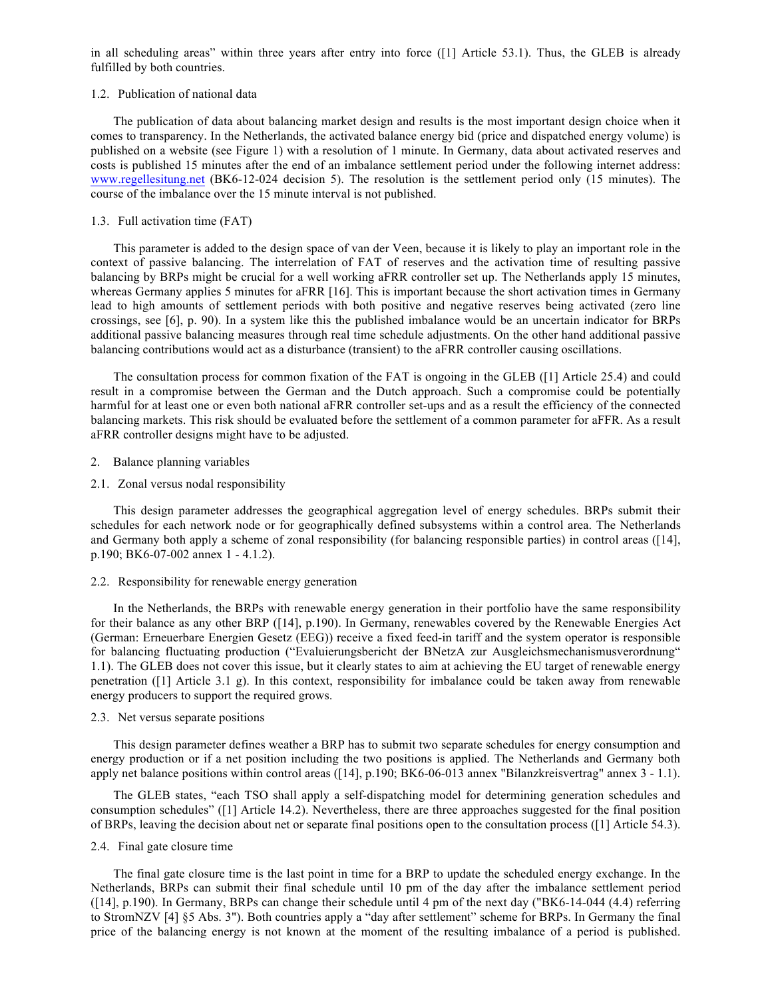in all scheduling areas" within three years after entry into force ([1] Article 53.1). Thus, the GLEB is already fulfilled by both countries.

### 1.2. Publication of national data

The publication of data about balancing market design and results is the most important design choice when it comes to transparency. In the Netherlands, the activated balance energy bid (price and dispatched energy volume) is published on a website (see Figure 1) with a resolution of 1 minute. In Germany, data about activated reserves and costs is published 15 minutes after the end of an imbalance settlement period under the following internet address: www.regellesitung.net (BK6-12-024 decision 5). The resolution is the settlement period only (15 minutes). The course of the imbalance over the 15 minute interval is not published.

## 1.3. Full activation time (FAT)

This parameter is added to the design space of van der Veen, because it is likely to play an important role in the context of passive balancing. The interrelation of FAT of reserves and the activation time of resulting passive balancing by BRPs might be crucial for a well working aFRR controller set up. The Netherlands apply 15 minutes, whereas Germany applies 5 minutes for aFRR [16]. This is important because the short activation times in Germany lead to high amounts of settlement periods with both positive and negative reserves being activated (zero line crossings, see [6], p. 90). In a system like this the published imbalance would be an uncertain indicator for BRPs additional passive balancing measures through real time schedule adjustments. On the other hand additional passive balancing contributions would act as a disturbance (transient) to the aFRR controller causing oscillations.

The consultation process for common fixation of the FAT is ongoing in the GLEB ([1] Article 25.4) and could result in a compromise between the German and the Dutch approach. Such a compromise could be potentially harmful for at least one or even both national aFRR controller set-ups and as a result the efficiency of the connected balancing markets. This risk should be evaluated before the settlement of a common parameter for aFFR. As a result aFRR controller designs might have to be adjusted.

### 2. Balance planning variables

2.1. Zonal versus nodal responsibility

This design parameter addresses the geographical aggregation level of energy schedules. BRPs submit their schedules for each network node or for geographically defined subsystems within a control area. The Netherlands and Germany both apply a scheme of zonal responsibility (for balancing responsible parties) in control areas ([14], p.190; BK6-07-002 annex 1 - 4.1.2).

### 2.2. Responsibility for renewable energy generation

In the Netherlands, the BRPs with renewable energy generation in their portfolio have the same responsibility for their balance as any other BRP ([14], p.190). In Germany, renewables covered by the Renewable Energies Act (German: Erneuerbare Energien Gesetz (EEG)) receive a fixed feed-in tariff and the system operator is responsible for balancing fluctuating production ("Evaluierungsbericht der BNetzA zur Ausgleichsmechanismusverordnung" 1.1). The GLEB does not cover this issue, but it clearly states to aim at achieving the EU target of renewable energy penetration ([1] Article 3.1 g). In this context, responsibility for imbalance could be taken away from renewable energy producers to support the required grows.

#### 2.3. Net versus separate positions

This design parameter defines weather a BRP has to submit two separate schedules for energy consumption and energy production or if a net position including the two positions is applied. The Netherlands and Germany both apply net balance positions within control areas ([14], p.190; BK6-06-013 annex "Bilanzkreisvertrag" annex 3 - 1.1).

The GLEB states, "each TSO shall apply a self-dispatching model for determining generation schedules and consumption schedules" ([1] Article 14.2). Nevertheless, there are three approaches suggested for the final position of BRPs, leaving the decision about net or separate final positions open to the consultation process ([1] Article 54.3).

### 2.4. Final gate closure time

The final gate closure time is the last point in time for a BRP to update the scheduled energy exchange. In the Netherlands, BRPs can submit their final schedule until 10 pm of the day after the imbalance settlement period ([14], p.190). In Germany, BRPs can change their schedule until 4 pm of the next day ("BK6-14-044 (4.4) referring to StromNZV [4] §5 Abs. 3"). Both countries apply a "day after settlement" scheme for BRPs. In Germany the final price of the balancing energy is not known at the moment of the resulting imbalance of a period is published.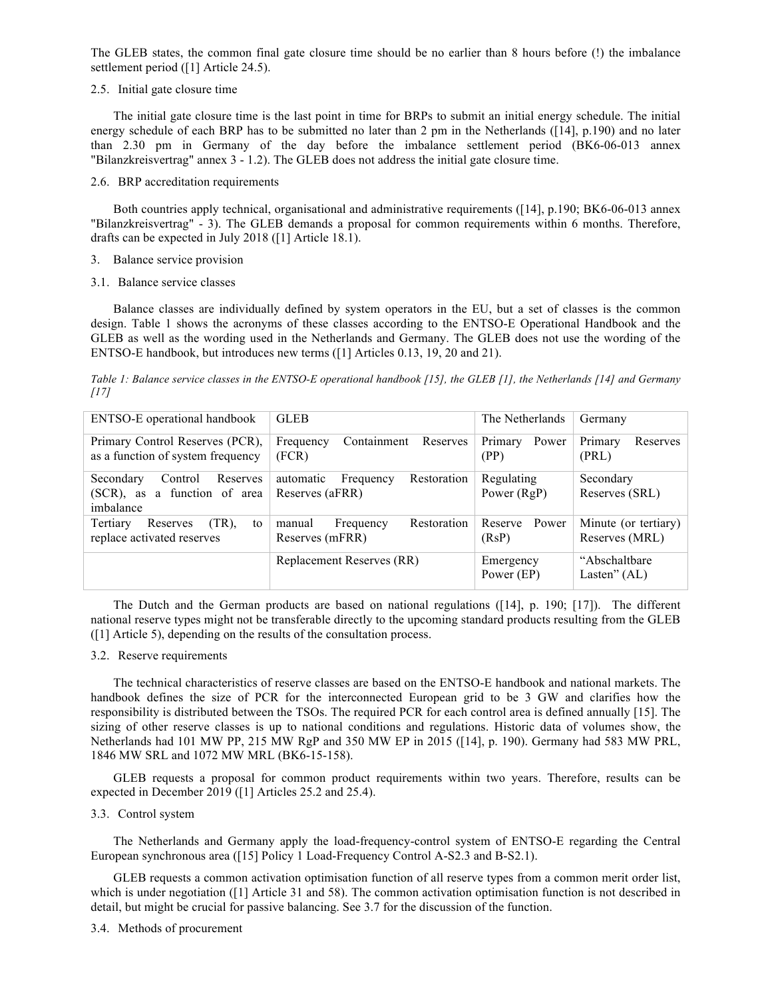The GLEB states, the common final gate closure time should be no earlier than 8 hours before (!) the imbalance settlement period ([1] Article 24.5).

#### 2.5. Initial gate closure time

The initial gate closure time is the last point in time for BRPs to submit an initial energy schedule. The initial energy schedule of each BRP has to be submitted no later than 2 pm in the Netherlands ([14], p.190) and no later than 2.30 pm in Germany of the day before the imbalance settlement period (BK6-06-013 annex "Bilanzkreisvertrag" annex 3 - 1.2). The GLEB does not address the initial gate closure time.

## 2.6. BRP accreditation requirements

Both countries apply technical, organisational and administrative requirements ([14], p.190; BK6-06-013 annex "Bilanzkreisvertrag" - 3). The GLEB demands a proposal for common requirements within 6 months. Therefore, drafts can be expected in July 2018 ([1] Article 18.1).

- 3. Balance service provision
- 3.1. Balance service classes

Balance classes are individually defined by system operators in the EU, but a set of classes is the common design. Table 1 shows the acronyms of these classes according to the ENTSO-E Operational Handbook and the GLEB as well as the wording used in the Netherlands and Germany. The GLEB does not use the wording of the ENTSO-E handbook, but introduces new terms ([1] Articles 0.13, 19, 20 and 21).

*Table 1: Balance service classes in the ENTSO-E operational handbook [15], the GLEB [1], the Netherlands [14] and Germany [17]* 

| ENTSO-E operational handbook                                                  | <b>GLEB</b>                                              | The Netherlands             | Germany                                |  |
|-------------------------------------------------------------------------------|----------------------------------------------------------|-----------------------------|----------------------------------------|--|
| Primary Control Reserves (PCR),<br>as a function of system frequency          | Containment<br>Reserves<br>Frequency<br>(FCR)            | Power<br>Primary<br>(PP)    | Primary<br>Reserves<br>(PRL)           |  |
| Reserves<br>Secondary<br>Control<br>(SCR), as a function of area<br>imbalance | Restoration<br>automatic<br>Frequency<br>Reserves (aFRR) | Regulating<br>Power $(RgP)$ | Secondary<br>Reserves (SRL)            |  |
| Tertiary<br>$(TR)$ .<br>Reserves<br>to<br>replace activated reserves          | Restoration<br>Frequency<br>manual<br>Reserves (mFRR)    | Power<br>Reserve<br>(RsP)   | Minute (or tertiary)<br>Reserves (MRL) |  |
|                                                                               | Replacement Reserves (RR)                                | Emergency<br>Power (EP)     | "Abschaltbare"<br>Lasten" $(AL)$       |  |

The Dutch and the German products are based on national regulations ([14], p. 190; [17]). The different national reserve types might not be transferable directly to the upcoming standard products resulting from the GLEB ([1] Article 5), depending on the results of the consultation process.

# 3.2. Reserve requirements

The technical characteristics of reserve classes are based on the ENTSO-E handbook and national markets. The handbook defines the size of PCR for the interconnected European grid to be 3 GW and clarifies how the responsibility is distributed between the TSOs. The required PCR for each control area is defined annually [15]. The sizing of other reserve classes is up to national conditions and regulations. Historic data of volumes show, the Netherlands had 101 MW PP, 215 MW RgP and 350 MW EP in 2015 ([14], p. 190). Germany had 583 MW PRL, 1846 MW SRL and 1072 MW MRL (BK6-15-158).

GLEB requests a proposal for common product requirements within two years. Therefore, results can be expected in December 2019 ([1] Articles 25.2 and 25.4).

# 3.3. Control system

The Netherlands and Germany apply the load-frequency-control system of ENTSO-E regarding the Central European synchronous area ([15] Policy 1 Load-Frequency Control A-S2.3 and B-S2.1).

GLEB requests a common activation optimisation function of all reserve types from a common merit order list, which is under negotiation ([1] Article 31 and 58). The common activation optimisation function is not described in detail, but might be crucial for passive balancing. See 3.7 for the discussion of the function.

#### 3.4. Methods of procurement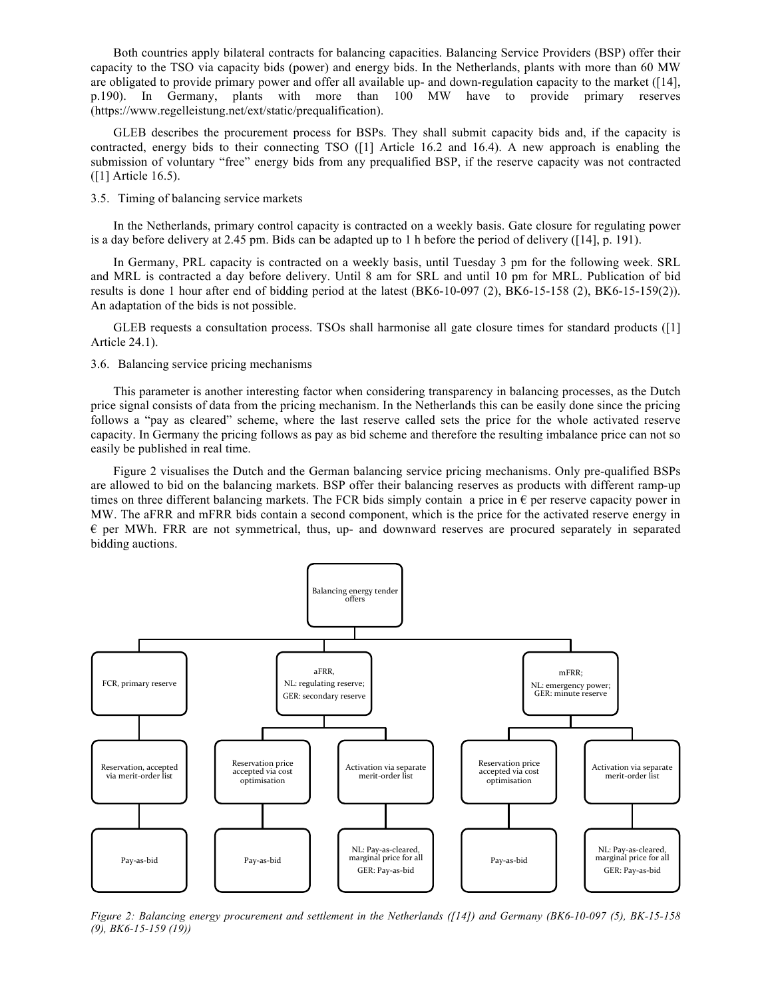Both countries apply bilateral contracts for balancing capacities. Balancing Service Providers (BSP) offer their capacity to the TSO via capacity bids (power) and energy bids. In the Netherlands, plants with more than 60 MW are obligated to provide primary power and offer all available up- and down-regulation capacity to the market ([14], p.190). In Germany, plants with more than 100 MW have to provide primary reserves (https://www.regelleistung.net/ext/static/prequalification).

GLEB describes the procurement process for BSPs. They shall submit capacity bids and, if the capacity is contracted, energy bids to their connecting TSO ([1] Article 16.2 and 16.4). A new approach is enabling the submission of voluntary "free" energy bids from any prequalified BSP, if the reserve capacity was not contracted ([1] Article 16.5).

3.5. Timing of balancing service markets

In the Netherlands, primary control capacity is contracted on a weekly basis. Gate closure for regulating power is a day before delivery at 2.45 pm. Bids can be adapted up to 1 h before the period of delivery ([14], p. 191).

In Germany, PRL capacity is contracted on a weekly basis, until Tuesday 3 pm for the following week. SRL and MRL is contracted a day before delivery. Until 8 am for SRL and until 10 pm for MRL. Publication of bid results is done 1 hour after end of bidding period at the latest (BK6-10-097 (2), BK6-15-158 (2), BK6-15-159(2)). An adaptation of the bids is not possible.

GLEB requests a consultation process. TSOs shall harmonise all gate closure times for standard products ([1] Article 24.1).

3.6. Balancing service pricing mechanisms

This parameter is another interesting factor when considering transparency in balancing processes, as the Dutch price signal consists of data from the pricing mechanism. In the Netherlands this can be easily done since the pricing follows a "pay as cleared" scheme, where the last reserve called sets the price for the whole activated reserve capacity. In Germany the pricing follows as pay as bid scheme and therefore the resulting imbalance price can not so easily be published in real time.

Figure 2 visualises the Dutch and the German balancing service pricing mechanisms. Only pre-qualified BSPs are allowed to bid on the balancing markets. BSP offer their balancing reserves as products with different ramp-up times on three different balancing markets. The FCR bids simply contain a price in  $\epsilon$  per reserve capacity power in MW. The aFRR and mFRR bids contain a second component, which is the price for the activated reserve energy in  $\epsilon$  per MWh. FRR are not symmetrical, thus, up- and downward reserves are procured separately in separated bidding auctions.



*Figure 2: Balancing energy procurement and settlement in the Netherlands ([14]) and Germany (BK6-10-097 (5), BK-15-158 (9), BK6-15-159 (19))*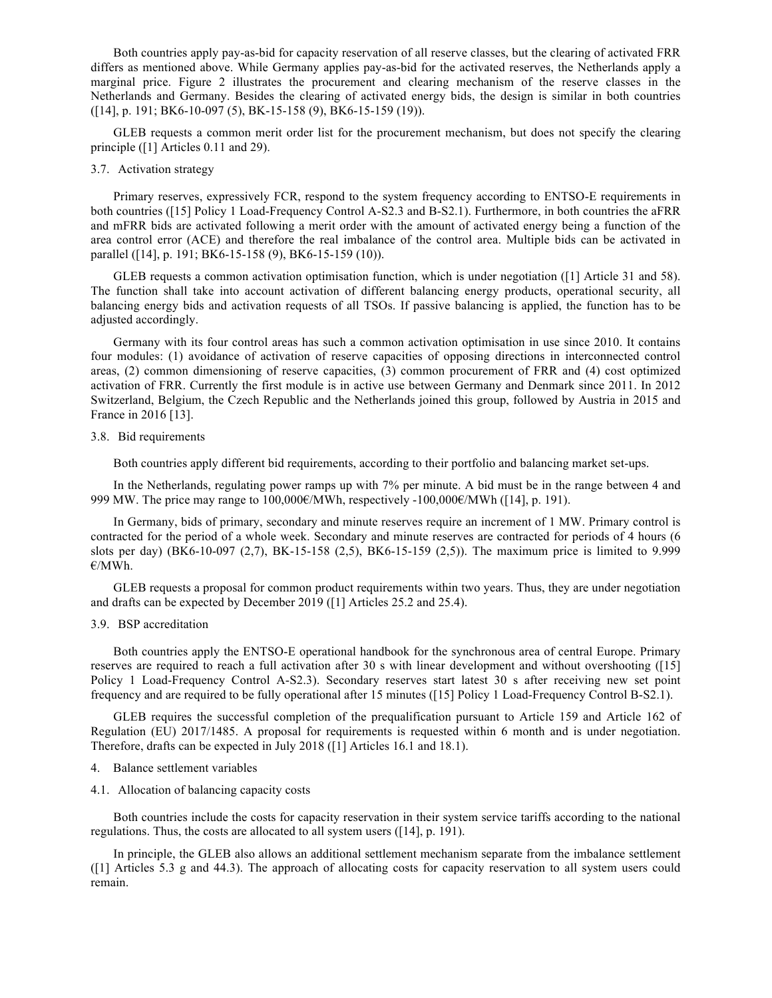Both countries apply pay-as-bid for capacity reservation of all reserve classes, but the clearing of activated FRR differs as mentioned above. While Germany applies pay-as-bid for the activated reserves, the Netherlands apply a marginal price. Figure 2 illustrates the procurement and clearing mechanism of the reserve classes in the Netherlands and Germany. Besides the clearing of activated energy bids, the design is similar in both countries ([14], p. 191; BK6-10-097 (5), BK-15-158 (9), BK6-15-159 (19)).

GLEB requests a common merit order list for the procurement mechanism, but does not specify the clearing principle ([1] Articles 0.11 and 29).

#### 3.7. Activation strategy

Primary reserves, expressively FCR, respond to the system frequency according to ENTSO-E requirements in both countries ([15] Policy 1 Load-Frequency Control A-S2.3 and B-S2.1). Furthermore, in both countries the aFRR and mFRR bids are activated following a merit order with the amount of activated energy being a function of the area control error (ACE) and therefore the real imbalance of the control area. Multiple bids can be activated in parallel ([14], p. 191; BK6-15-158 (9), BK6-15-159 (10)).

GLEB requests a common activation optimisation function, which is under negotiation ([1] Article 31 and 58). The function shall take into account activation of different balancing energy products, operational security, all balancing energy bids and activation requests of all TSOs. If passive balancing is applied, the function has to be adjusted accordingly.

Germany with its four control areas has such a common activation optimisation in use since 2010. It contains four modules: (1) avoidance of activation of reserve capacities of opposing directions in interconnected control areas, (2) common dimensioning of reserve capacities, (3) common procurement of FRR and (4) cost optimized activation of FRR. Currently the first module is in active use between Germany and Denmark since 2011. In 2012 Switzerland, Belgium, the Czech Republic and the Netherlands joined this group, followed by Austria in 2015 and France in 2016 [13].

# 3.8. Bid requirements

Both countries apply different bid requirements, according to their portfolio and balancing market set-ups.

In the Netherlands, regulating power ramps up with 7% per minute. A bid must be in the range between 4 and 999 MW. The price may range to  $100,000 \in \text{MWh}$ , respectively -100,000 $\in \text{MWh}$  ([14], p. 191).

In Germany, bids of primary, secondary and minute reserves require an increment of 1 MW. Primary control is contracted for the period of a whole week. Secondary and minute reserves are contracted for periods of 4 hours (6 slots per day) (BK6-10-097 (2,7), BK-15-158 (2,5), BK6-15-159 (2,5)). The maximum price is limited to 9.999 €/MWh.

GLEB requests a proposal for common product requirements within two years. Thus, they are under negotiation and drafts can be expected by December 2019 ([1] Articles 25.2 and 25.4).

#### 3.9. BSP accreditation

Both countries apply the ENTSO-E operational handbook for the synchronous area of central Europe. Primary reserves are required to reach a full activation after 30 s with linear development and without overshooting ([15] Policy 1 Load-Frequency Control A-S2.3). Secondary reserves start latest 30 s after receiving new set point frequency and are required to be fully operational after 15 minutes ([15] Policy 1 Load-Frequency Control B-S2.1).

GLEB requires the successful completion of the prequalification pursuant to Article 159 and Article 162 of Regulation (EU) 2017/1485. A proposal for requirements is requested within 6 month and is under negotiation. Therefore, drafts can be expected in July 2018 ([1] Articles 16.1 and 18.1).

- 4. Balance settlement variables
- 4.1. Allocation of balancing capacity costs

Both countries include the costs for capacity reservation in their system service tariffs according to the national regulations. Thus, the costs are allocated to all system users ([14], p. 191).

In principle, the GLEB also allows an additional settlement mechanism separate from the imbalance settlement ([1] Articles 5.3 g and 44.3). The approach of allocating costs for capacity reservation to all system users could remain.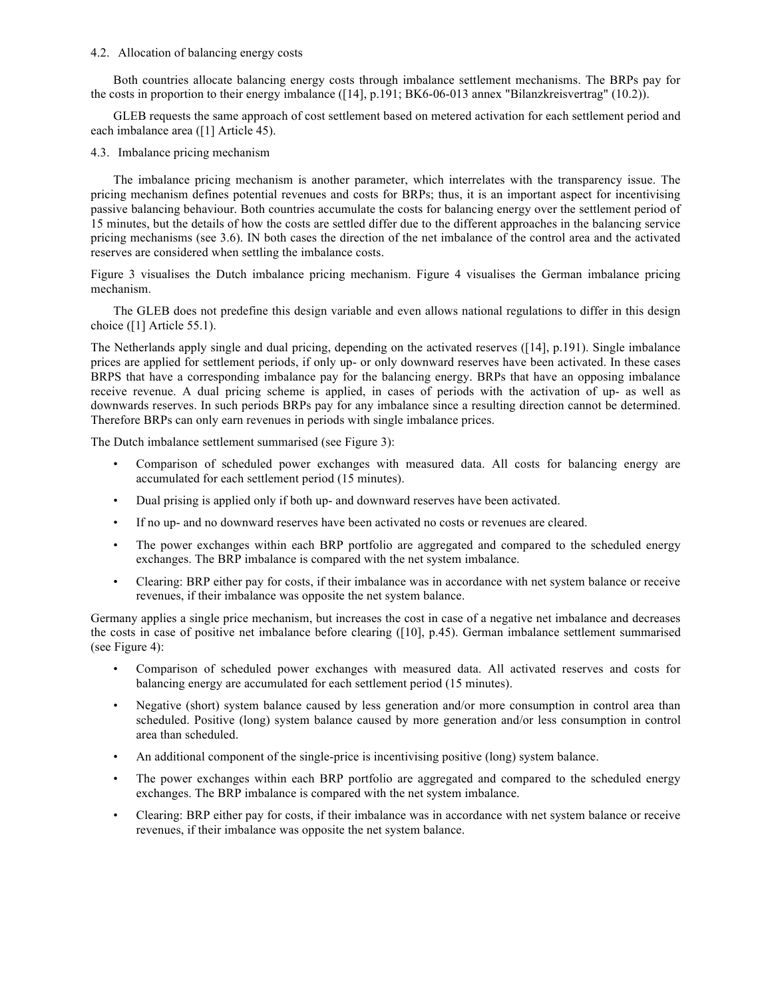## 4.2. Allocation of balancing energy costs

Both countries allocate balancing energy costs through imbalance settlement mechanisms. The BRPs pay for the costs in proportion to their energy imbalance ([14], p.191; BK6-06-013 annex "Bilanzkreisvertrag" (10.2)).

GLEB requests the same approach of cost settlement based on metered activation for each settlement period and each imbalance area ([1] Article 45).

## 4.3. Imbalance pricing mechanism

The imbalance pricing mechanism is another parameter, which interrelates with the transparency issue. The pricing mechanism defines potential revenues and costs for BRPs; thus, it is an important aspect for incentivising passive balancing behaviour. Both countries accumulate the costs for balancing energy over the settlement period of 15 minutes, but the details of how the costs are settled differ due to the different approaches in the balancing service pricing mechanisms (see 3.6). IN both cases the direction of the net imbalance of the control area and the activated reserves are considered when settling the imbalance costs.

Figure 3 visualises the Dutch imbalance pricing mechanism. Figure 4 visualises the German imbalance pricing mechanism.

The GLEB does not predefine this design variable and even allows national regulations to differ in this design choice ([1] Article 55.1).

The Netherlands apply single and dual pricing, depending on the activated reserves ([14], p.191). Single imbalance prices are applied for settlement periods, if only up- or only downward reserves have been activated. In these cases BRPS that have a corresponding imbalance pay for the balancing energy. BRPs that have an opposing imbalance receive revenue. A dual pricing scheme is applied, in cases of periods with the activation of up- as well as downwards reserves. In such periods BRPs pay for any imbalance since a resulting direction cannot be determined. Therefore BRPs can only earn revenues in periods with single imbalance prices.

The Dutch imbalance settlement summarised (see Figure 3):

- Comparison of scheduled power exchanges with measured data. All costs for balancing energy are accumulated for each settlement period (15 minutes).
- Dual prising is applied only if both up- and downward reserves have been activated.
- If no up- and no downward reserves have been activated no costs or revenues are cleared.
- The power exchanges within each BRP portfolio are aggregated and compared to the scheduled energy exchanges. The BRP imbalance is compared with the net system imbalance.
- Clearing: BRP either pay for costs, if their imbalance was in accordance with net system balance or receive revenues, if their imbalance was opposite the net system balance.

Germany applies a single price mechanism, but increases the cost in case of a negative net imbalance and decreases the costs in case of positive net imbalance before clearing ([10], p.45). German imbalance settlement summarised (see Figure 4):

- Comparison of scheduled power exchanges with measured data. All activated reserves and costs for balancing energy are accumulated for each settlement period (15 minutes).
- Negative (short) system balance caused by less generation and/or more consumption in control area than scheduled. Positive (long) system balance caused by more generation and/or less consumption in control area than scheduled.
- An additional component of the single-price is incentivising positive (long) system balance.
- The power exchanges within each BRP portfolio are aggregated and compared to the scheduled energy exchanges. The BRP imbalance is compared with the net system imbalance.
- Clearing: BRP either pay for costs, if their imbalance was in accordance with net system balance or receive revenues, if their imbalance was opposite the net system balance.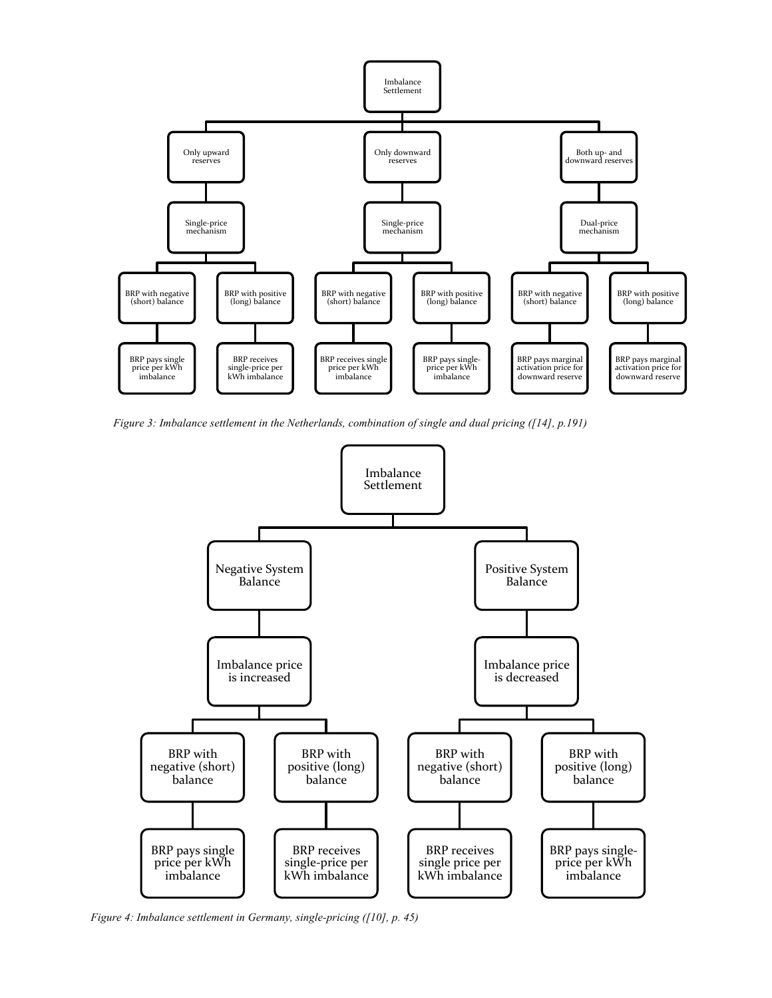

*Figure 3: Imbalance settlement in the Netherlands, combination of single and dual pricing ([14], p.191)*



*Figure 4: Imbalance settlement in Germany, single-pricing ([10], p. 45)*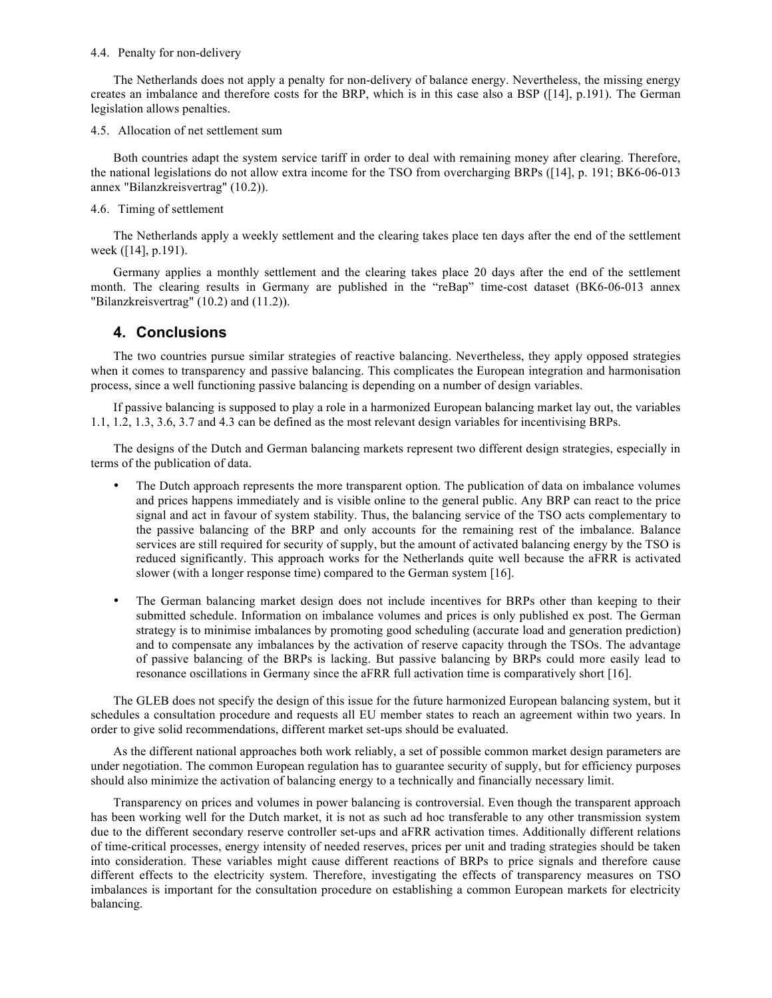#### 4.4. Penalty for non-delivery

The Netherlands does not apply a penalty for non-delivery of balance energy. Nevertheless, the missing energy creates an imbalance and therefore costs for the BRP, which is in this case also a BSP ([14], p.191). The German legislation allows penalties.

4.5. Allocation of net settlement sum

Both countries adapt the system service tariff in order to deal with remaining money after clearing. Therefore, the national legislations do not allow extra income for the TSO from overcharging BRPs ([14], p. 191; BK6-06-013 annex "Bilanzkreisvertrag" (10.2)).

4.6. Timing of settlement

The Netherlands apply a weekly settlement and the clearing takes place ten days after the end of the settlement week ([14], p.191).

Germany applies a monthly settlement and the clearing takes place 20 days after the end of the settlement month. The clearing results in Germany are published in the "reBap" time-cost dataset (BK6-06-013 annex "Bilanzkreisvertrag" (10.2) and (11.2)).

# **4. Conclusions**

The two countries pursue similar strategies of reactive balancing. Nevertheless, they apply opposed strategies when it comes to transparency and passive balancing. This complicates the European integration and harmonisation process, since a well functioning passive balancing is depending on a number of design variables.

If passive balancing is supposed to play a role in a harmonized European balancing market lay out, the variables 1.1, 1.2, 1.3, 3.6, 3.7 and 4.3 can be defined as the most relevant design variables for incentivising BRPs.

The designs of the Dutch and German balancing markets represent two different design strategies, especially in terms of the publication of data.

- The Dutch approach represents the more transparent option. The publication of data on imbalance volumes and prices happens immediately and is visible online to the general public. Any BRP can react to the price signal and act in favour of system stability. Thus, the balancing service of the TSO acts complementary to the passive balancing of the BRP and only accounts for the remaining rest of the imbalance. Balance services are still required for security of supply, but the amount of activated balancing energy by the TSO is reduced significantly. This approach works for the Netherlands quite well because the aFRR is activated slower (with a longer response time) compared to the German system [16].
- The German balancing market design does not include incentives for BRPs other than keeping to their submitted schedule. Information on imbalance volumes and prices is only published ex post. The German strategy is to minimise imbalances by promoting good scheduling (accurate load and generation prediction) and to compensate any imbalances by the activation of reserve capacity through the TSOs. The advantage of passive balancing of the BRPs is lacking. But passive balancing by BRPs could more easily lead to resonance oscillations in Germany since the aFRR full activation time is comparatively short [16].

The GLEB does not specify the design of this issue for the future harmonized European balancing system, but it schedules a consultation procedure and requests all EU member states to reach an agreement within two years. In order to give solid recommendations, different market set-ups should be evaluated.

As the different national approaches both work reliably, a set of possible common market design parameters are under negotiation. The common European regulation has to guarantee security of supply, but for efficiency purposes should also minimize the activation of balancing energy to a technically and financially necessary limit.

Transparency on prices and volumes in power balancing is controversial. Even though the transparent approach has been working well for the Dutch market, it is not as such ad hoc transferable to any other transmission system due to the different secondary reserve controller set-ups and aFRR activation times. Additionally different relations of time-critical processes, energy intensity of needed reserves, prices per unit and trading strategies should be taken into consideration. These variables might cause different reactions of BRPs to price signals and therefore cause different effects to the electricity system. Therefore, investigating the effects of transparency measures on TSO imbalances is important for the consultation procedure on establishing a common European markets for electricity balancing.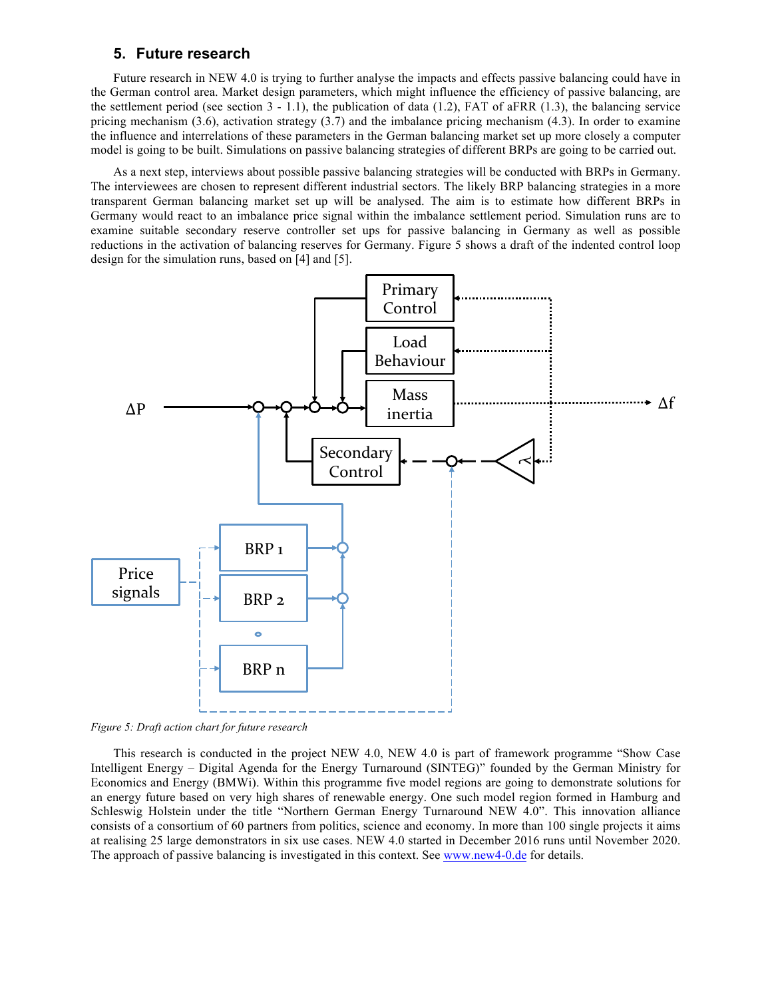# **5. Future research**

Future research in NEW 4.0 is trying to further analyse the impacts and effects passive balancing could have in the German control area. Market design parameters, which might influence the efficiency of passive balancing, are the settlement period (see section  $3 - 1.1$ ), the publication of data (1.2), FAT of aFRR (1.3), the balancing service pricing mechanism (3.6), activation strategy (3.7) and the imbalance pricing mechanism (4.3). In order to examine the influence and interrelations of these parameters in the German balancing market set up more closely a computer model is going to be built. Simulations on passive balancing strategies of different BRPs are going to be carried out.

As a next step, interviews about possible passive balancing strategies will be conducted with BRPs in Germany. The interviewees are chosen to represent different industrial sectors. The likely BRP balancing strategies in a more transparent German balancing market set up will be analysed. The aim is to estimate how different BRPs in Germany would react to an imbalance price signal within the imbalance settlement period. Simulation runs are to examine suitable secondary reserve controller set ups for passive balancing in Germany as well as possible reductions in the activation of balancing reserves for Germany. Figure 5 shows a draft of the indented control loop design for the simulation runs, based on [4] and [5].



*Figure 5: Draft action chart for future research*

This research is conducted in the project NEW 4.0, NEW 4.0 is part of framework programme "Show Case Intelligent Energy – Digital Agenda for the Energy Turnaround (SINTEG)" founded by the German Ministry for Economics and Energy (BMWi). Within this programme five model regions are going to demonstrate solutions for an energy future based on very high shares of renewable energy. One such model region formed in Hamburg and Schleswig Holstein under the title "Northern German Energy Turnaround NEW 4.0". This innovation alliance consists of a consortium of 60 partners from politics, science and economy. In more than 100 single projects it aims at realising 25 large demonstrators in six use cases. NEW 4.0 started in December 2016 runs until November 2020. The approach of passive balancing is investigated in this context. See www.new4-0.de for details.